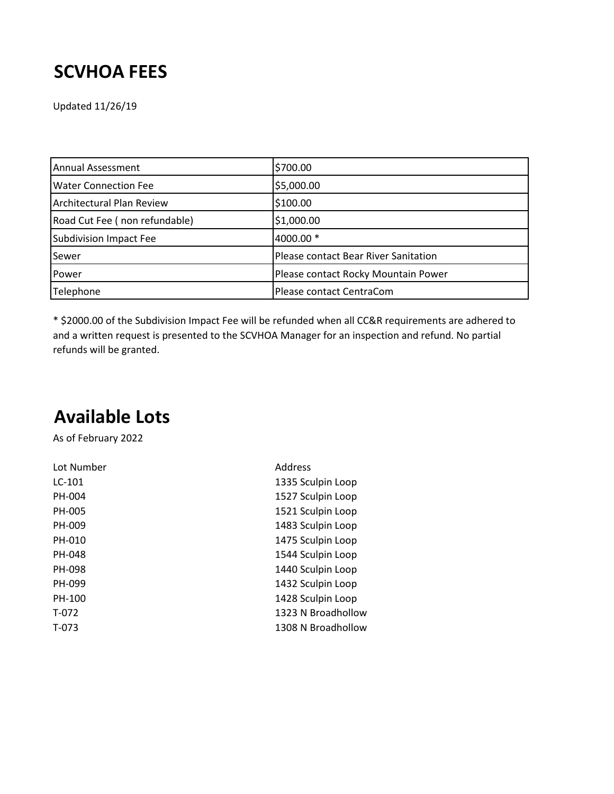## **SCVHOA FEES**

Updated 11/26/19

| Annual Assessment             | \$700.00                             |
|-------------------------------|--------------------------------------|
| <b>Water Connection Fee</b>   | \$5,000.00                           |
| Architectural Plan Review     | \$100.00                             |
| Road Cut Fee (non refundable) | \$1,000.00                           |
| Subdivision Impact Fee        | 4000.00 *                            |
| Sewer                         | Please contact Bear River Sanitation |
| Power                         | Please contact Rocky Mountain Power  |
| Telephone                     | Please contact CentraCom             |

\* \$2000.00 of the Subdivision Impact Fee will be refunded when all CC&R requirements are adhered to and a written request is presented to the SCVHOA Manager for an inspection and refund. No partial refunds will be granted.

## **Available Lots**

As of February 2022

| Lot Number | Address            |
|------------|--------------------|
| $LC-101$   | 1335 Sculpin Loop  |
| PH-004     | 1527 Sculpin Loop  |
| PH-005     | 1521 Sculpin Loop  |
| PH-009     | 1483 Sculpin Loop  |
| PH-010     | 1475 Sculpin Loop  |
| PH-048     | 1544 Sculpin Loop  |
| PH-098     | 1440 Sculpin Loop  |
| PH-099     | 1432 Sculpin Loop  |
| PH-100     | 1428 Sculpin Loop  |
| $T-072$    | 1323 N Broadhollow |
| T-073      | 1308 N Broadhollow |